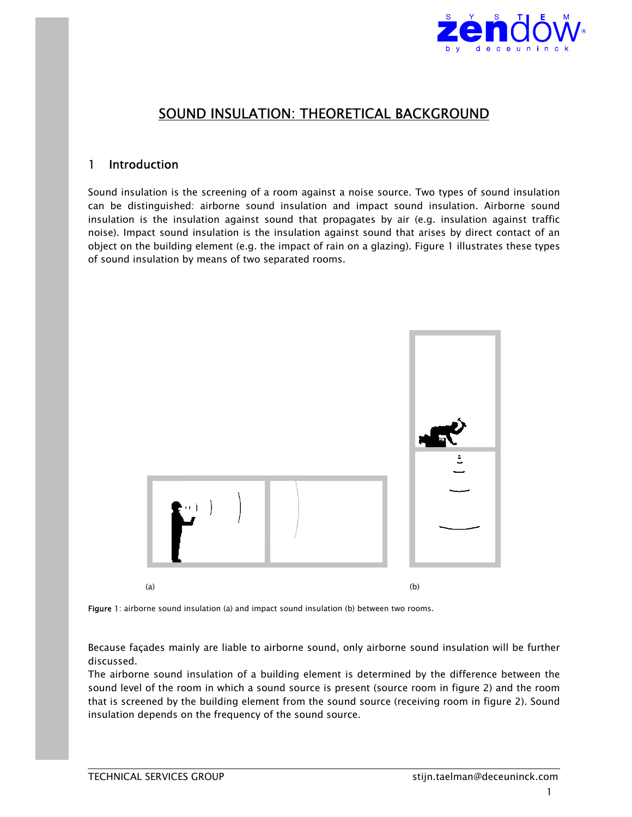

# SOUND INSULATION: THEORETICAL BACKGROUND

### 1 Introduction

Sound insulation is the screening of a room against a noise source. Two types of sound insulation can be distinguished: airborne sound insulation and impact sound insulation. Airborne sound insulation is the insulation against sound that propagates by air (e.g. insulation against traffic noise). Impact sound insulation is the insulation against sound that arises by direct contact of an object on the building element (e.g. the impact of rain on a glazing). Figure 1 illustrates these types of sound insulation by means of two separated rooms.





Because façades mainly are liable to airborne sound, only airborne sound insulation will be further discussed.

The airborne sound insulation of a building element is determined by the difference between the sound level of the room in which a sound source is present (source room in figure 2) and the room that is screened by the building element from the sound source (receiving room in figure 2). Sound insulation depends on the frequency of the sound source.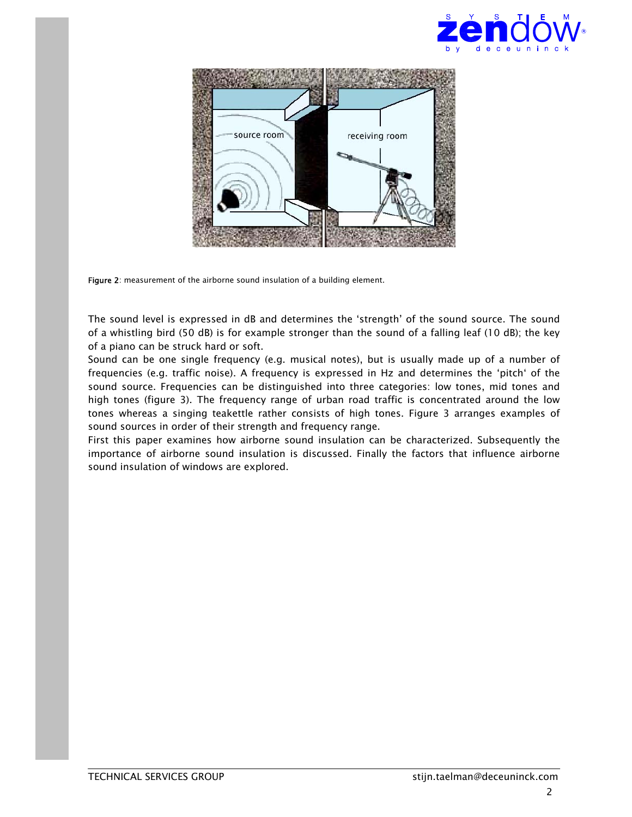



Figure 2: measurement of the airborne sound insulation of a building element.

The sound level is expressed in dB and determines the 'strength' of the sound source. The sound of a whistling bird (50 dB) is for example stronger than the sound of a falling leaf (10 dB); the key of a piano can be struck hard or soft.

Sound can be one single frequency (e.g. musical notes), but is usually made up of a number of frequencies (e.g. traffic noise). A frequency is expressed in Hz and determines the 'pitch' of the sound source. Frequencies can be distinguished into three categories: low tones, mid tones and high tones (figure 3). The frequency range of urban road traffic is concentrated around the low tones whereas a singing teakettle rather consists of high tones. Figure 3 arranges examples of sound sources in order of their strength and frequency range.

First this paper examines how airborne sound insulation can be characterized. Subsequently the importance of airborne sound insulation is discussed. Finally the factors that influence airborne sound insulation of windows are explored.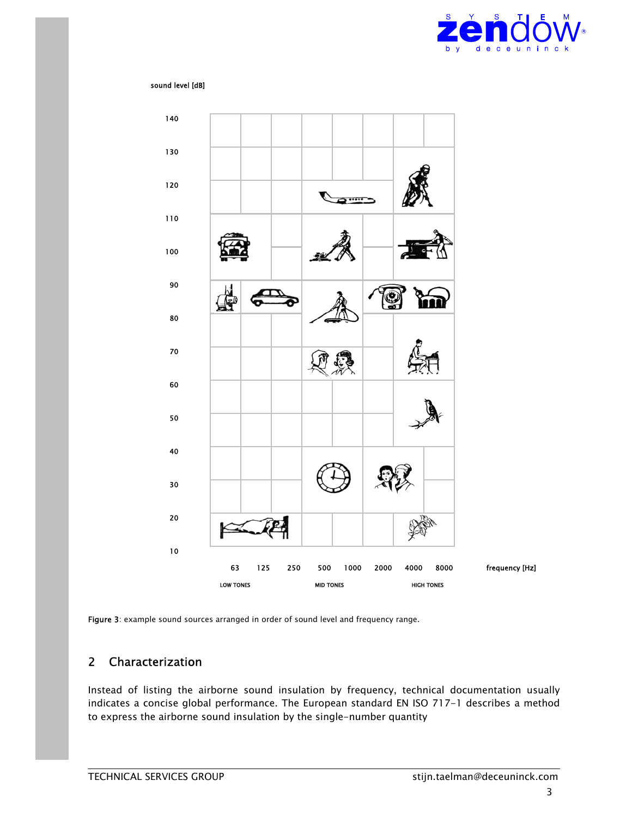

#### sound level [dB]



Figure 3: example sound sources arranged in order of sound level and frequency range.

## Characterization

Instead of listing the airborne sound insulation by frequency, technical documentation usually indicates a concise global performance. The European standard EN ISO 717-1 describes a method to express the airborne sound insulation by the single-number quantity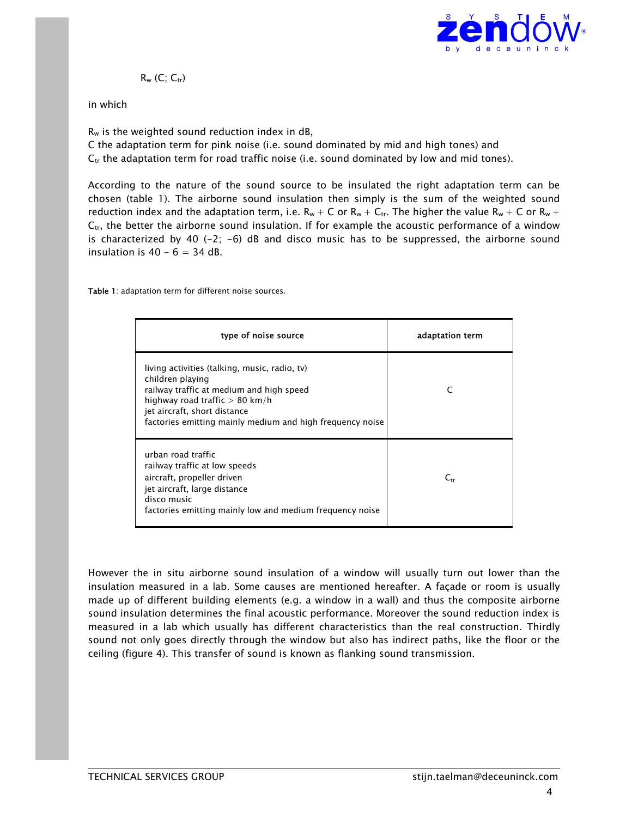

 $R_w$  (C;  $C_{tr}$ )

#### in which

 $R_w$  is the weighted sound reduction index in dB, C the adaptation term for pink noise (i.e. sound dominated by mid and high tones) and  $C_{tr}$  the adaptation term for road traffic noise (i.e. sound dominated by low and mid tones).

According to the nature of the sound source to be insulated the right adaptation term can be chosen (table 1). The airborne sound insulation then simply is the sum of the weighted sound reduction index and the adaptation term, i.e.  $R_w + C$  or  $R_w + C_{tr}$ . The higher the value  $R_w + C$  or  $R_w + C$  $C_{tr}$ , the better the airborne sound insulation. If for example the acoustic performance of a window is characterized by 40  $(-2; -6)$  dB and disco music has to be suppressed, the airborne sound insulation is  $40 - 6 = 34$  dB.

Table 1: adaptation term for different noise sources.

| type of noise source                                                                                                                                                                                                                           | adaptation term |
|------------------------------------------------------------------------------------------------------------------------------------------------------------------------------------------------------------------------------------------------|-----------------|
| living activities (talking, music, radio, tv)<br>children playing<br>railway traffic at medium and high speed<br>highway road traffic $> 80$ km/h<br>jet aircraft, short distance<br>factories emitting mainly medium and high frequency noise | C               |
| urban road traffic<br>railway traffic at low speeds<br>aircraft, propeller driven<br>jet aircraft, large distance<br>disco music<br>factories emitting mainly low and medium frequency noise                                                   | $C_{tr}$        |

However the in situ airborne sound insulation of a window will usually turn out lower than the insulation measured in a lab. Some causes are mentioned hereafter. A façade or room is usually made up of different building elements (e.g. a window in a wall) and thus the composite airborne sound insulation determines the final acoustic performance. Moreover the sound reduction index is measured in a lab which usually has different characteristics than the real construction. Thirdly sound not only goes directly through the window but also has indirect paths, like the floor or the ceiling (figure 4). This transfer of sound is known as flanking sound transmission.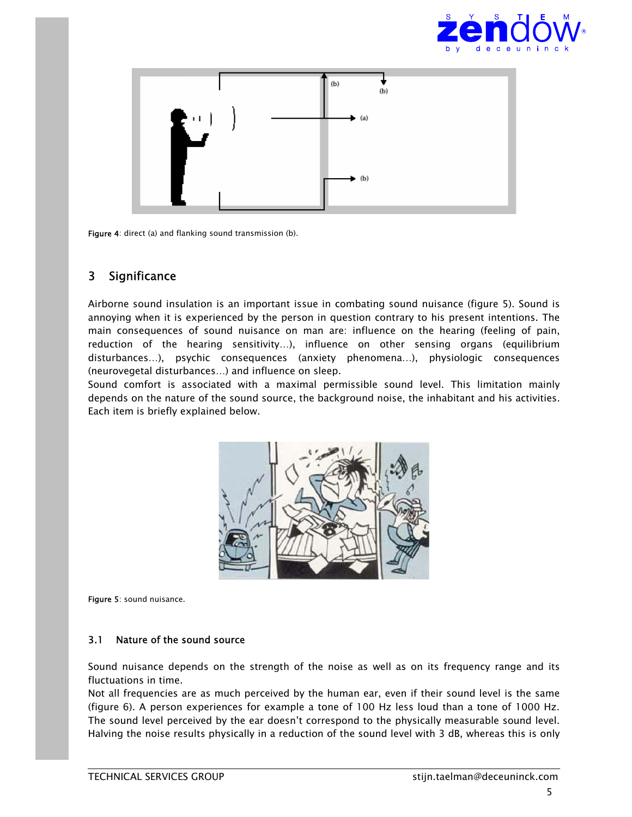![](_page_4_Picture_0.jpeg)

![](_page_4_Figure_1.jpeg)

Figure 4: direct (a) and flanking sound transmission (b).

## 3 Significance

Airborne sound insulation is an important issue in combating sound nuisance (figure 5). Sound is annoying when it is experienced by the person in question contrary to his present intentions. The main consequences of sound nuisance on man are: influence on the hearing (feeling of pain, reduction of the hearing sensitivity…), influence on other sensing organs (equilibrium disturbances…), psychic consequences (anxiety phenomena…), physiologic consequences (neurovegetal disturbances…) and influence on sleep.

Sound comfort is associated with a maximal permissible sound level. This limitation mainly depends on the nature of the sound source, the background noise, the inhabitant and his activities. Each item is briefly explained below.

![](_page_4_Picture_6.jpeg)

Figure 5: sound nuisance.

### 3.1 Nature of the sound source

Sound nuisance depends on the strength of the noise as well as on its frequency range and its fluctuations in time.

Not all frequencies are as much perceived by the human ear, even if their sound level is the same (figure 6). A person experiences for example a tone of 100 Hz less loud than a tone of 1000 Hz. The sound level perceived by the ear doesn't correspond to the physically measurable sound level. Halving the noise results physically in a reduction of the sound level with 3 dB, whereas this is only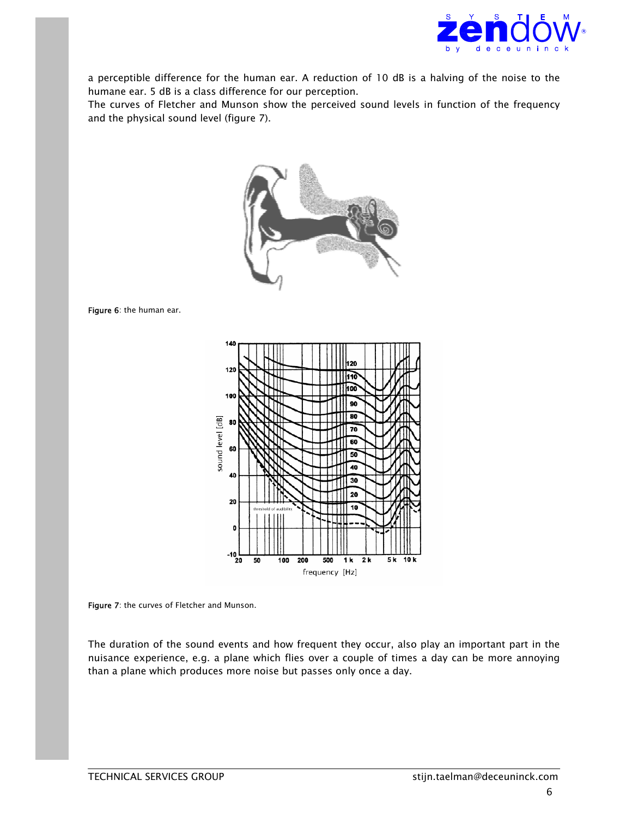![](_page_5_Picture_0.jpeg)

a perceptible difference for the human ear. A reduction of 10 dB is a halving of the noise to the humane ear. 5 dB is a class difference for our perception.

The curves of Fletcher and Munson show the perceived sound levels in function of the frequency and the physical sound level (figure 7).

![](_page_5_Picture_3.jpeg)

Figure 6: the human ear.

![](_page_5_Figure_5.jpeg)

Figure 7: the curves of Fletcher and Munson.

The duration of the sound events and how frequent they occur, also play an important part in the nuisance experience, e.g. a plane which flies over a couple of times a day can be more annoying than a plane which produces more noise but passes only once a day.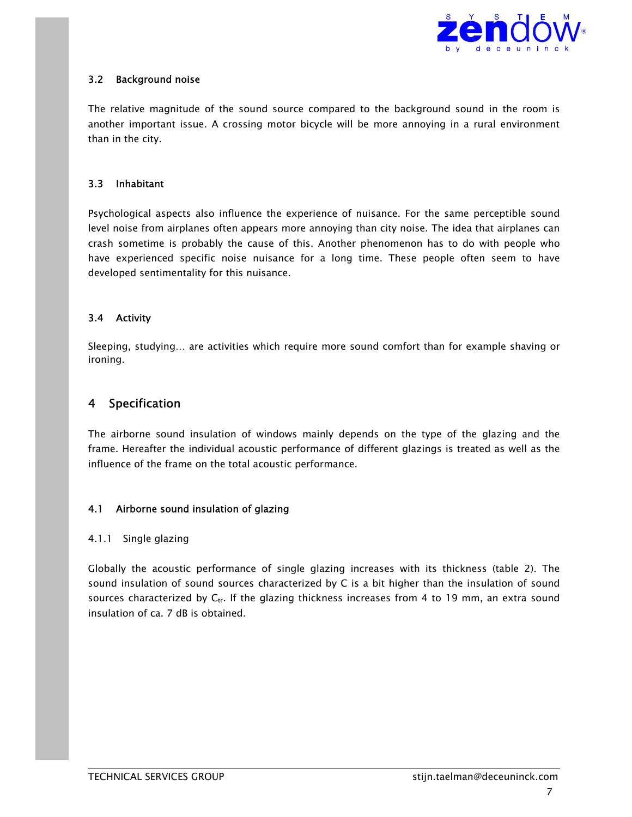![](_page_6_Picture_0.jpeg)

### 3.2 Background noise

The relative magnitude of the sound source compared to the background sound in the room is another important issue. A crossing motor bicycle will be more annoying in a rural environment than in the city.

### 3.3 Inhabitant

Psychological aspects also influence the experience of nuisance. For the same perceptible sound level noise from airplanes often appears more annoying than city noise. The idea that airplanes can crash sometime is probably the cause of this. Another phenomenon has to do with people who have experienced specific noise nuisance for a long time. These people often seem to have developed sentimentality for this nuisance.

### 3.4 Activity

Sleeping, studying… are activities which require more sound comfort than for example shaving or ironing.

### 4 Specification

The airborne sound insulation of windows mainly depends on the type of the glazing and the frame. Hereafter the individual acoustic performance of different glazings is treated as well as the influence of the frame on the total acoustic performance.

### 4.1 Airborne sound insulation of glazing

### 4.1.1 Single glazing

Globally the acoustic performance of single glazing increases with its thickness (table 2). The sound insulation of sound sources characterized by C is a bit higher than the insulation of sound sources characterized by  $C_{tr}$ . If the glazing thickness increases from 4 to 19 mm, an extra sound insulation of ca. 7 dB is obtained.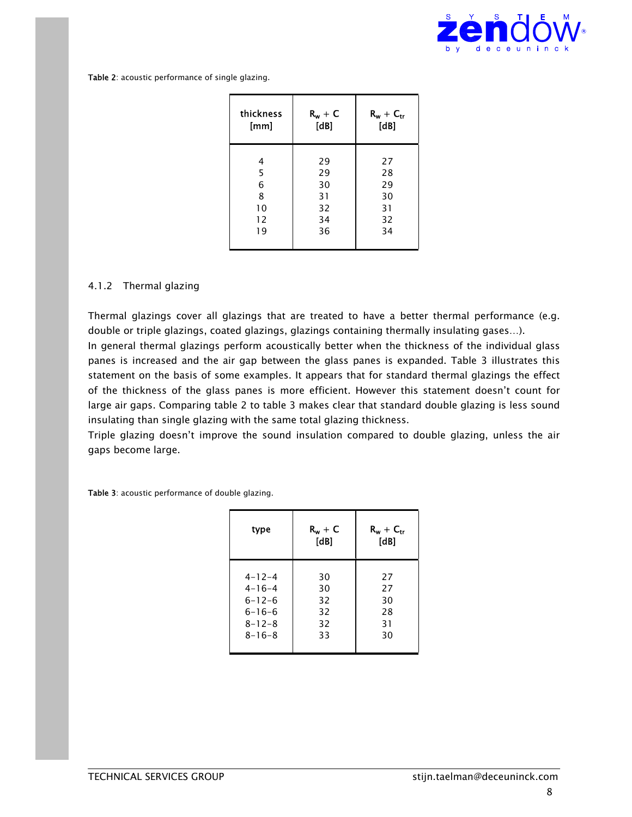![](_page_7_Picture_0.jpeg)

Table 2: acoustic performance of single glazing.

| thickness | $R_w + C$ | $R_w + C_{tr}$ |
|-----------|-----------|----------------|
| [mm]      | [dB]      | [dB]           |
| 4         | 29        | 27             |
| 5         | 29        | 28             |
| 6         | 30        | 29             |
| 8         | 31        | 30             |
| 10        | 32        | 31             |
| 12        | 34        | 32             |
| 19        | 36        | 34             |

### 4.1.2 Thermal glazing

Thermal glazings cover all glazings that are treated to have a better thermal performance (e.g. double or triple glazings, coated glazings, glazings containing thermally insulating gases…). In general thermal glazings perform acoustically better when the thickness of the individual glass panes is increased and the air gap between the glass panes is expanded. Table 3 illustrates this statement on the basis of some examples. It appears that for standard thermal glazings the effect of the thickness of the glass panes is more efficient. However this statement doesn't count for large air gaps. Comparing table 2 to table 3 makes clear that standard double glazing is less sound insulating than single glazing with the same total glazing thickness.

Triple glazing doesn't improve the sound insulation compared to double glazing, unless the air gaps become large.

Table 3: acoustic performance of double glazing.

| type         | $R_w + C$<br>[dB] | $R_w + C_{tr}$<br>[dB] |
|--------------|-------------------|------------------------|
| $4 - 12 - 4$ | 30                | 27                     |
| $4 - 16 - 4$ | 30                | 27                     |
| $6 - 12 - 6$ | 32                | 30                     |
| $6 - 16 - 6$ | 32                | 28                     |
| $8 - 12 - 8$ | 32                | 31                     |
| $8 - 16 - 8$ | 33                | 30                     |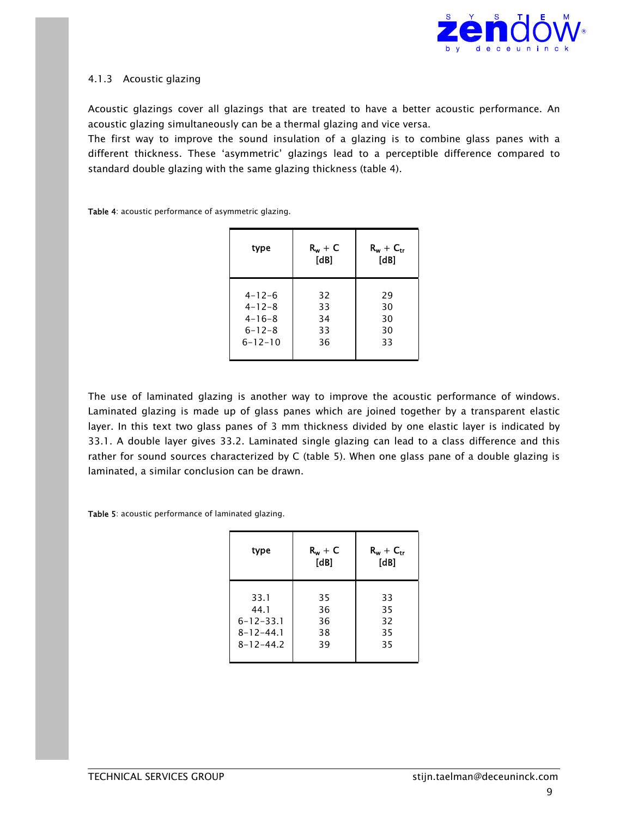![](_page_8_Picture_0.jpeg)

### 4.1.3 Acoustic glazing

Acoustic glazings cover all glazings that are treated to have a better acoustic performance. An acoustic glazing simultaneously can be a thermal glazing and vice versa.

The first way to improve the sound insulation of a glazing is to combine glass panes with a different thickness. These 'asymmetric' glazings lead to a perceptible difference compared to standard double glazing with the same glazing thickness (table 4).

Table 4: acoustic performance of asymmetric glazing.

| type          | $R_w + C$<br>[dB] | $R_w + C_{tr}$<br>[dB] |
|---------------|-------------------|------------------------|
| $4 - 12 - 6$  | 32                | 29                     |
| $4 - 12 - 8$  | 33                | 30                     |
| $4 - 16 - 8$  | 34                | 30                     |
| $6 - 12 - 8$  | 33                | 30                     |
| $6 - 12 - 10$ | 36                | 33                     |
|               |                   |                        |

The use of laminated glazing is another way to improve the acoustic performance of windows. Laminated glazing is made up of glass panes which are joined together by a transparent elastic layer. In this text two glass panes of 3 mm thickness divided by one elastic layer is indicated by 33.1. A double layer gives 33.2. Laminated single glazing can lead to a class difference and this rather for sound sources characterized by C (table 5). When one glass pane of a double glazing is laminated, a similar conclusion can be drawn.

Table 5: acoustic performance of laminated glazing.

| type            | $R_w + C$<br>[dB] | $R_w + C_{tr}$<br>[dB] |
|-----------------|-------------------|------------------------|
| 33.1            | 35                | 33                     |
| 44.1            | 36                | 35                     |
| $6 - 12 - 33.1$ | 36                | 32                     |
| $8 - 12 - 44.1$ | 38                | 35                     |
| $8 - 12 - 44.2$ | 39                | 35                     |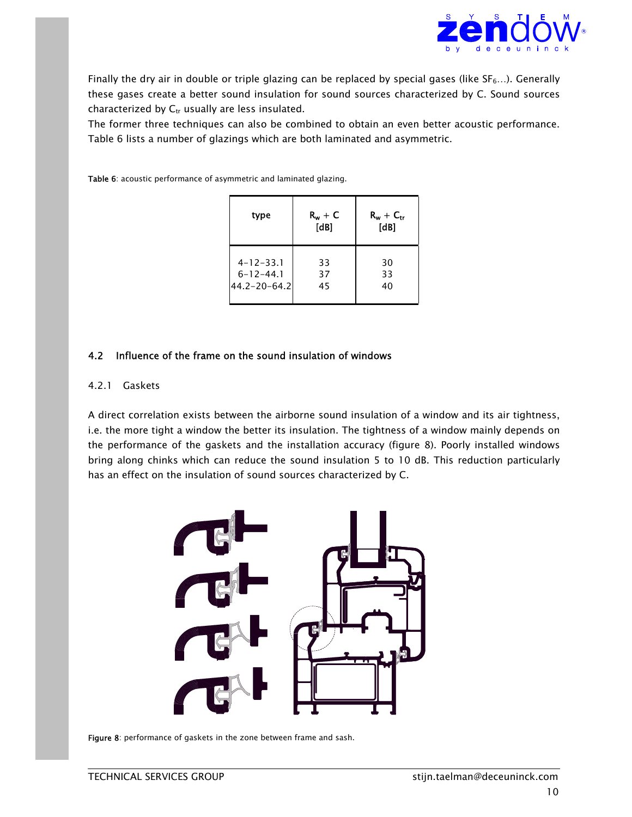![](_page_9_Picture_0.jpeg)

Finally the dry air in double or triple glazing can be replaced by special gases (like  $SF_6...$ ). Generally these gases create a better sound insulation for sound sources characterized by C. Sound sources characterized by  $C_{tr}$  usually are less insulated.

The former three techniques can also be combined to obtain an even better acoustic performance. Table 6 lists a number of glazings which are both laminated and asymmetric.

Table 6: acoustic performance of asymmetric and laminated glazing.

| type               | $R_w + C$<br>[dB] | $R_w + C_{tr}$<br>[dB] |
|--------------------|-------------------|------------------------|
| $4 - 12 - 33.1$    | 33                | 30                     |
| $6 - 12 - 44.1$    | 37                | 33                     |
| $44.2 - 20 - 64.2$ | 45                | 40                     |

#### 4.2 Influence of the frame on the sound insulation of windows

#### 4.2.1 Gaskets

A direct correlation exists between the airborne sound insulation of a window and its air tightness, i.e. the more tight a window the better its insulation. The tightness of a window mainly depends on the performance of the gaskets and the installation accuracy (figure 8). Poorly installed windows bring along chinks which can reduce the sound insulation 5 to 10 dB. This reduction particularly has an effect on the insulation of sound sources characterized by C.

![](_page_9_Figure_8.jpeg)

Figure 8: performance of gaskets in the zone between frame and sash.